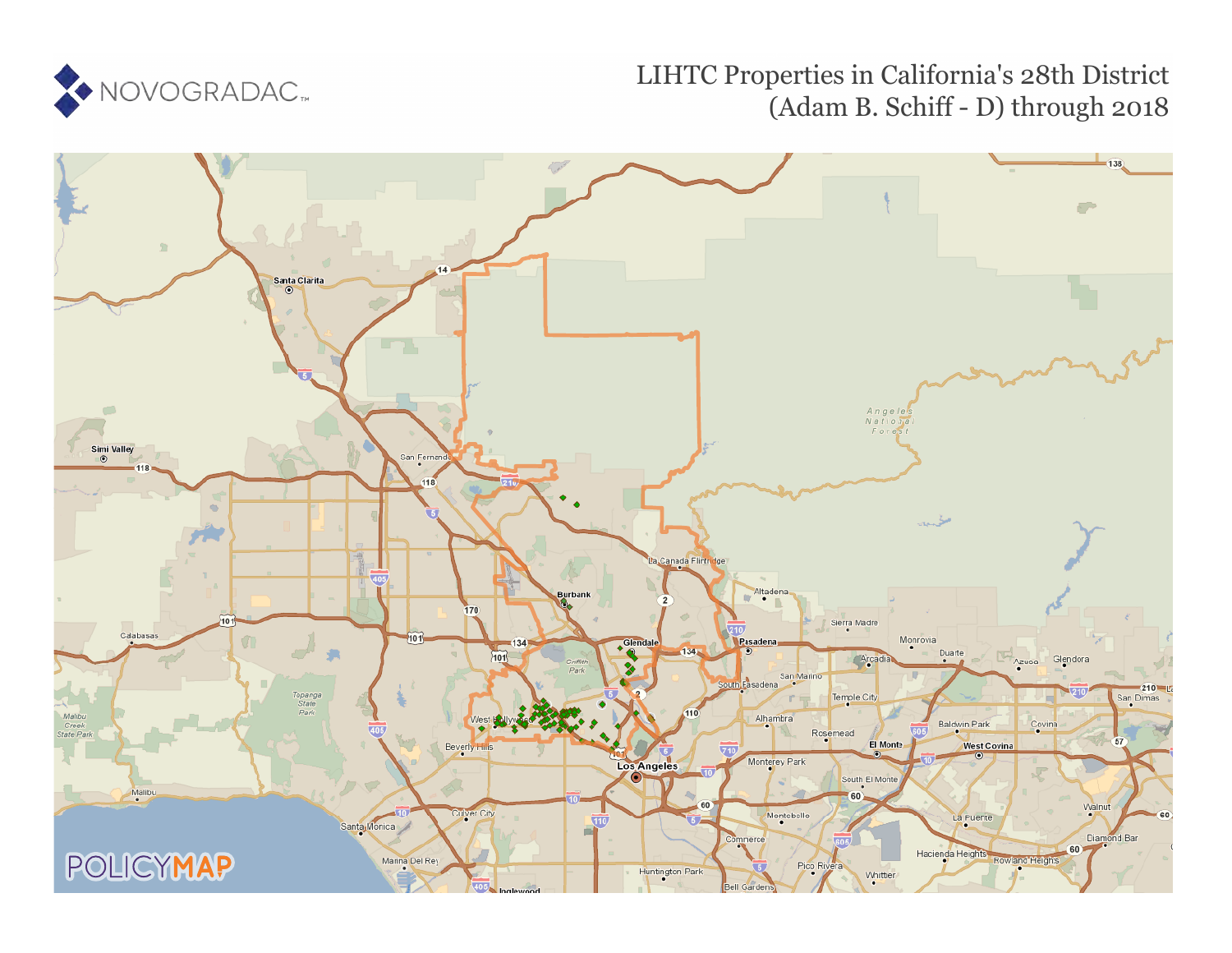

# LIHTC Properties in California's 28th District (Adam B. Schiff - D) through 2018

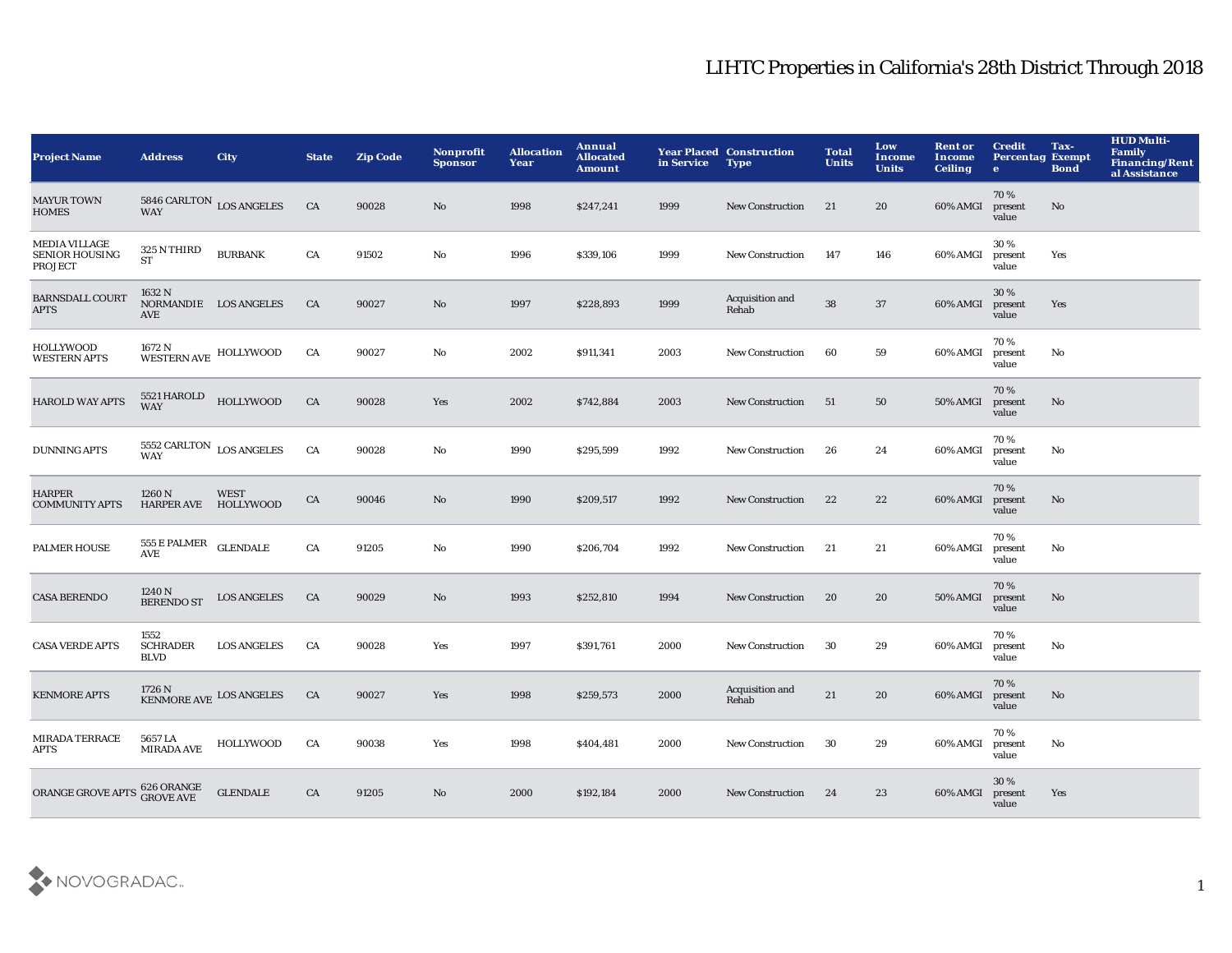| <b>Project Name</b>                                             | <b>Address</b>                                     | City                                    | <b>State</b> | <b>Zip Code</b> | <b>Nonprofit</b><br><b>Sponsor</b> | <b>Allocation</b><br>Year | Annual<br><b>Allocated</b><br><b>Amount</b> | in Service | <b>Year Placed Construction</b><br><b>Type</b> | <b>Total</b><br><b>Units</b> | Low<br><b>Income</b><br><b>Units</b> | <b>Rent or</b><br>Income<br><b>Ceiling</b> | <b>Credit</b><br><b>Percentag Exempt</b><br>$\bullet$ | Tax-<br><b>Bond</b> | <b>HUD Multi-</b><br>Family<br><b>Financing/Rent</b><br>al Assistance |
|-----------------------------------------------------------------|----------------------------------------------------|-----------------------------------------|--------------|-----------------|------------------------------------|---------------------------|---------------------------------------------|------------|------------------------------------------------|------------------------------|--------------------------------------|--------------------------------------------|-------------------------------------------------------|---------------------|-----------------------------------------------------------------------|
| <b>MAYUR TOWN</b><br><b>HOMES</b>                               | <b>WAY</b>                                         | $5846$ CARLTON $_{\rm LOS}$ ANGELES     | CA           | 90028           | No                                 | 1998                      | \$247,241                                   | 1999       | <b>New Construction</b>                        | 21                           | 20                                   | 60% AMGI                                   | 70%<br>present<br>value                               | No                  |                                                                       |
| <b>MEDIA VILLAGE</b><br><b>SENIOR HOUSING</b><br><b>PROJECT</b> | 325 N THIRD<br>${\cal S}{\cal T}$                  | <b>BURBANK</b>                          | ${\rm CA}$   | 91502           | No                                 | 1996                      | \$339,106                                   | 1999       | <b>New Construction</b>                        | 147                          | 146                                  | 60% AMGI                                   | 30%<br>present<br>value                               | Yes                 |                                                                       |
| <b>BARNSDALL COURT</b><br><b>APTS</b>                           | 1632 N<br>NORMANDIE LOS ANGELES<br>AVE             |                                         | CA           | 90027           | $\mathbf{N}\mathbf{o}$             | 1997                      | \$228,893                                   | 1999       | Acquisition and<br>Rehab                       | 38                           | $37\,$                               | 60% AMGI                                   | 30%<br>present<br>value                               | Yes                 |                                                                       |
| <b>HOLLYWOOD</b><br><b>WESTERN APTS</b>                         | 1672 N<br>WESTERN AVE HOLLYWOOD                    |                                         | CA           | 90027           | No                                 | 2002                      | \$911,341                                   | 2003       | <b>New Construction</b>                        | 60                           | 59                                   | 60% AMGI                                   | 70%<br>present<br>value                               | No                  |                                                                       |
| <b>HAROLD WAY APTS</b>                                          | 5521 HAROLD<br><b>WAY</b>                          | <b>HOLLYWOOD</b>                        | CA           | 90028           | Yes                                | 2002                      | \$742,884                                   | 2003       | <b>New Construction</b>                        | 51                           | 50                                   | 50% AMGI                                   | 70%<br>present<br>value                               | No                  |                                                                       |
| <b>DUNNING APTS</b>                                             | 5552 CARLTON $_{\rm{LOS\; ANGELES}}$<br><b>WAY</b> |                                         | CA           | 90028           | No                                 | 1990                      | \$295,599                                   | 1992       | <b>New Construction</b>                        | 26                           | 24                                   | 60% AMGI                                   | 70%<br>present<br>value                               | No                  |                                                                       |
| <b>HARPER</b><br><b>COMMUNITY APTS</b>                          | 1260N<br><b>HARPER AVE</b>                         | <b>WEST</b><br>HOLLYWOOD                | CA           | 90046           | No                                 | 1990                      | \$209,517                                   | 1992       | <b>New Construction</b>                        | 22                           | 22                                   | 60% AMGI                                   | 70%<br>present<br>value                               | $\mathbf{No}$       |                                                                       |
| <b>PALMER HOUSE</b>                                             | $555\to$ PALMER<br>AVE                             | <b>GLENDALE</b>                         | ${\rm CA}$   | 91205           | No                                 | 1990                      | \$206,704                                   | 1992       | <b>New Construction</b>                        | 21                           | 21                                   | 60% AMGI                                   | 70%<br>present<br>value                               | No                  |                                                                       |
| <b>CASA BERENDO</b>                                             | 1240 N<br><b>BERENDO ST</b>                        | <b>LOS ANGELES</b>                      | CA           | 90029           | No                                 | 1993                      | \$252,810                                   | 1994       | <b>New Construction</b>                        | 20                           | 20                                   | 50% AMGI                                   | 70%<br>present<br>value                               | No                  |                                                                       |
| <b>CASA VERDE APTS</b>                                          | 1552<br><b>SCHRADER</b><br><b>BLVD</b>             | <b>LOS ANGELES</b>                      | CA           | 90028           | Yes                                | 1997                      | \$391,761                                   | 2000       | <b>New Construction</b>                        | 30                           | 29                                   | 60% AMGI                                   | 70%<br>present<br>value                               | No                  |                                                                       |
| <b>KENMORE APTS</b>                                             |                                                    | $1726$ N $$\,{\rm KEMMORE}$ LOS ANGELES | CA           | 90027           | Yes                                | 1998                      | \$259,573                                   | 2000       | Acquisition and<br>Rehab                       | 21                           | 20                                   | 60% AMGI                                   | 70%<br>present<br>value                               | $\mathbf{No}$       |                                                                       |
| <b>MIRADA TERRACE</b><br><b>APTS</b>                            | 5657 LA<br><b>MIRADA AVE</b>                       | HOLLYWOOD                               | CA           | 90038           | Yes                                | 1998                      | \$404,481                                   | 2000       | <b>New Construction</b>                        | 30                           | 29                                   | 60% AMGI                                   | 70%<br>present<br>value                               | No                  |                                                                       |
| ORANGE GROVE APTS                                               | 626 ORANGE<br>GROVE AVE                            | <b>GLENDALE</b>                         | CA           | 91205           | No                                 | 2000                      | \$192,184                                   | 2000       | <b>New Construction</b>                        | 24                           | 23                                   | 60% AMGI                                   | 30 %<br>present<br>value                              | Yes                 |                                                                       |

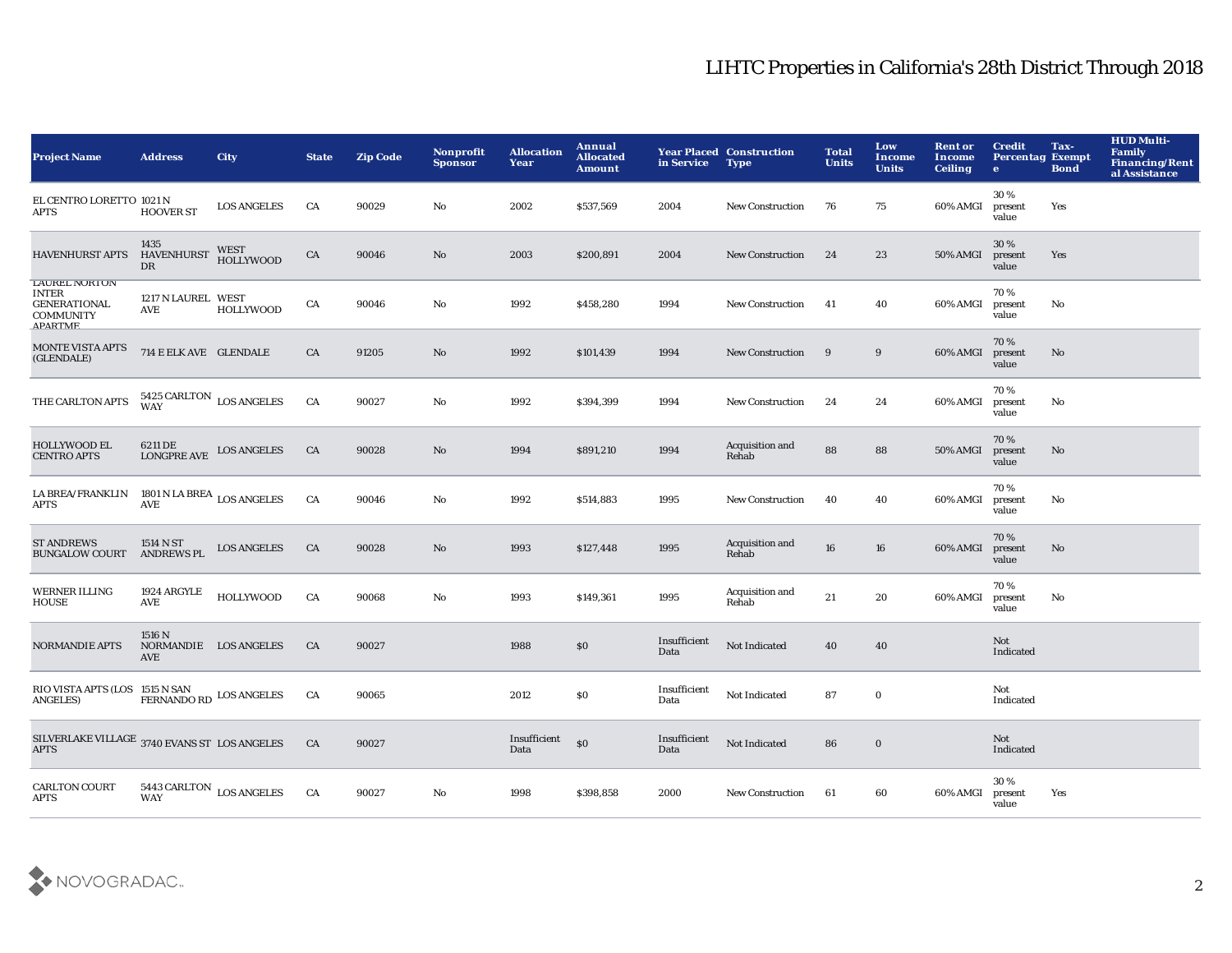| <b>Project Name</b>                                                                                    | <b>Address</b>                                | City                                | <b>State</b> | <b>Zip Code</b> | Nonprofit<br><b>Sponsor</b> | <b>Allocation</b><br>Year | Annual<br><b>Allocated</b><br><b>Amount</b> | in Service           | <b>Year Placed Construction</b><br><b>Type</b> | <b>Total</b><br><b>Units</b> | Low<br>Income<br><b>Units</b> | <b>Rent or</b><br>Income<br><b>Ceiling</b> | <b>Credit</b><br><b>Percentag Exempt</b><br>$\bullet$ | Tax-<br><b>Bond</b> | <b>HUD Multi-</b><br><b>Family</b><br><b>Financing/Rent</b><br>al Assistance |
|--------------------------------------------------------------------------------------------------------|-----------------------------------------------|-------------------------------------|--------------|-----------------|-----------------------------|---------------------------|---------------------------------------------|----------------------|------------------------------------------------|------------------------------|-------------------------------|--------------------------------------------|-------------------------------------------------------|---------------------|------------------------------------------------------------------------------|
| EL CENTRO LORETTO 1021 N<br><b>APTS</b>                                                                | <b>HOOVER ST</b>                              | <b>LOS ANGELES</b>                  | CA           | 90029           | No                          | 2002                      | \$537,569                                   | 2004                 | <b>New Construction</b>                        | 76                           | 75                            | 60% AMGI                                   | 30%<br>present<br>value                               | Yes                 |                                                                              |
| <b>HAVENHURST APTS</b>                                                                                 | 1435<br><b>HAVENHURST</b><br>DR               | <b>WEST</b><br><b>HOLLYWOOD</b>     | ${\rm CA}$   | 90046           | $\mathbf {No}$              | 2003                      | \$200,891                                   | 2004                 | <b>New Construction</b>                        | 24                           | $\bf 23$                      | 50% AMGI                                   | 30 %<br>present<br>value                              | Yes                 |                                                                              |
| <b>LAUREL NORTON</b><br><b>INTER</b><br><b>GENERATIONAL</b><br><b>COMMUNITY</b><br>ΔΡΔΡΤΜΕ             | 1217 N LAUREL WEST<br>AVE                     | <b>HOLLYWOOD</b>                    | CA           | 90046           | No                          | 1992                      | \$458,280                                   | 1994                 | <b>New Construction</b>                        | 41                           | 40                            | 60% AMGI                                   | 70%<br>present<br>value                               | No                  |                                                                              |
| MONTE VISTA APTS<br>(GLENDALE)                                                                         | 714 E ELK AVE GLENDALE                        |                                     | CA           | 91205           | No                          | 1992                      | \$101,439                                   | 1994                 | <b>New Construction</b>                        | 9                            | 9                             | 60% AMGI                                   | 70%<br>present<br>value                               | $\mathbf{No}$       |                                                                              |
| THE CARLTON APTS                                                                                       | $5425$ CARLTON $\,$ LOS ANGELES WAY           |                                     | CA           | 90027           | No                          | 1992                      | \$394,399                                   | 1994                 | New Construction                               | 24                           | 24                            | 60% AMGI                                   | 70%<br>present<br>value                               | No                  |                                                                              |
| <b>HOLLYWOOD EL</b><br><b>CENTRO APTS</b>                                                              | 6211 DE<br><b>LONGPRE AVE</b>                 | <b>LOS ANGELES</b>                  | CA           | 90028           | $\mathbf{No}$               | 1994                      | \$891,210                                   | 1994                 | Acquisition and<br>Rehab                       | 88                           | 88                            | 50% AMGI                                   | 70%<br>present<br>value                               | No                  |                                                                              |
| ${\begin{tabular}{ll} \bf{LA} BREA/FRANKLIN & \bf{1801} N LA BREA \\ APTS & \bf{AVE} & \end{tabular}}$ |                                               |                                     | CA           | 90046           | No                          | 1992                      | \$514,883                                   | 1995                 | New Construction                               | 40                           | 40                            | 60% AMGI                                   | 70%<br>present<br>value                               | No                  |                                                                              |
| <b>ST ANDREWS</b><br><b>BUNGALOW COURT</b>                                                             | 1514 N ST<br><b>ANDREWS PL</b>                | <b>LOS ANGELES</b>                  | CA           | 90028           | $\mathbf{N}\mathbf{o}$      | 1993                      | \$127,448                                   | 1995                 | Acquisition and<br>Rehab                       | 16                           | 16                            | 60% AMGI                                   | 70%<br>present<br>value                               | $\mathbf{No}$       |                                                                              |
| <b>WERNER ILLING</b><br><b>HOUSE</b>                                                                   | 1924 ARGYLE<br><b>AVE</b>                     | <b>HOLLYWOOD</b>                    | ${\rm CA}$   | 90068           | $\mathbf {No}$              | 1993                      | \$149,361                                   | 1995                 | Acquisition and<br>Rehab                       | 21                           | 20                            | 60% AMGI                                   | 70%<br>present<br>value                               | No                  |                                                                              |
| <b>NORMANDIE APTS</b>                                                                                  | 1516 N<br>NORMANDIE LOS ANGELES<br><b>AVE</b> |                                     | <b>CA</b>    | 90027           |                             | 1988                      | \$0                                         | Insufficient<br>Data | Not Indicated                                  | 40                           | 40                            |                                            | Not<br>Indicated                                      |                     |                                                                              |
| RIO VISTA APTS (LOS 1515 N SAN<br><b>ANGELES</b> )                                                     | FERNANDO RD LOS ANGELES                       |                                     | CA           | 90065           |                             | 2012                      | \$0                                         | Insufficient<br>Data | Not Indicated                                  | 87                           | $\bf{0}$                      |                                            | Not<br>Indicated                                      |                     |                                                                              |
| SILVERLAKE VILLAGE $\,$ 3740 EVANS ST $\,$ LOS ANGELES<br><b>APTS</b>                                  |                                               |                                     | CA           | 90027           |                             | Insufficient<br>Data      | S <sub>0</sub>                              | Insufficient<br>Data | Not Indicated                                  | 86                           | $\mathbf 0$                   |                                            | Not<br>Indicated                                      |                     |                                                                              |
| <b>CARLTON COURT</b><br><b>APTS</b>                                                                    |                                               | $5443$ CARLTON $\,$ LOS ANGELES WAY | CA           | 90027           | No                          | 1998                      | \$398,858                                   | 2000                 | <b>New Construction</b>                        | 61                           | 60                            | 60% AMGI                                   | 30%<br>present<br>value                               | Yes                 |                                                                              |

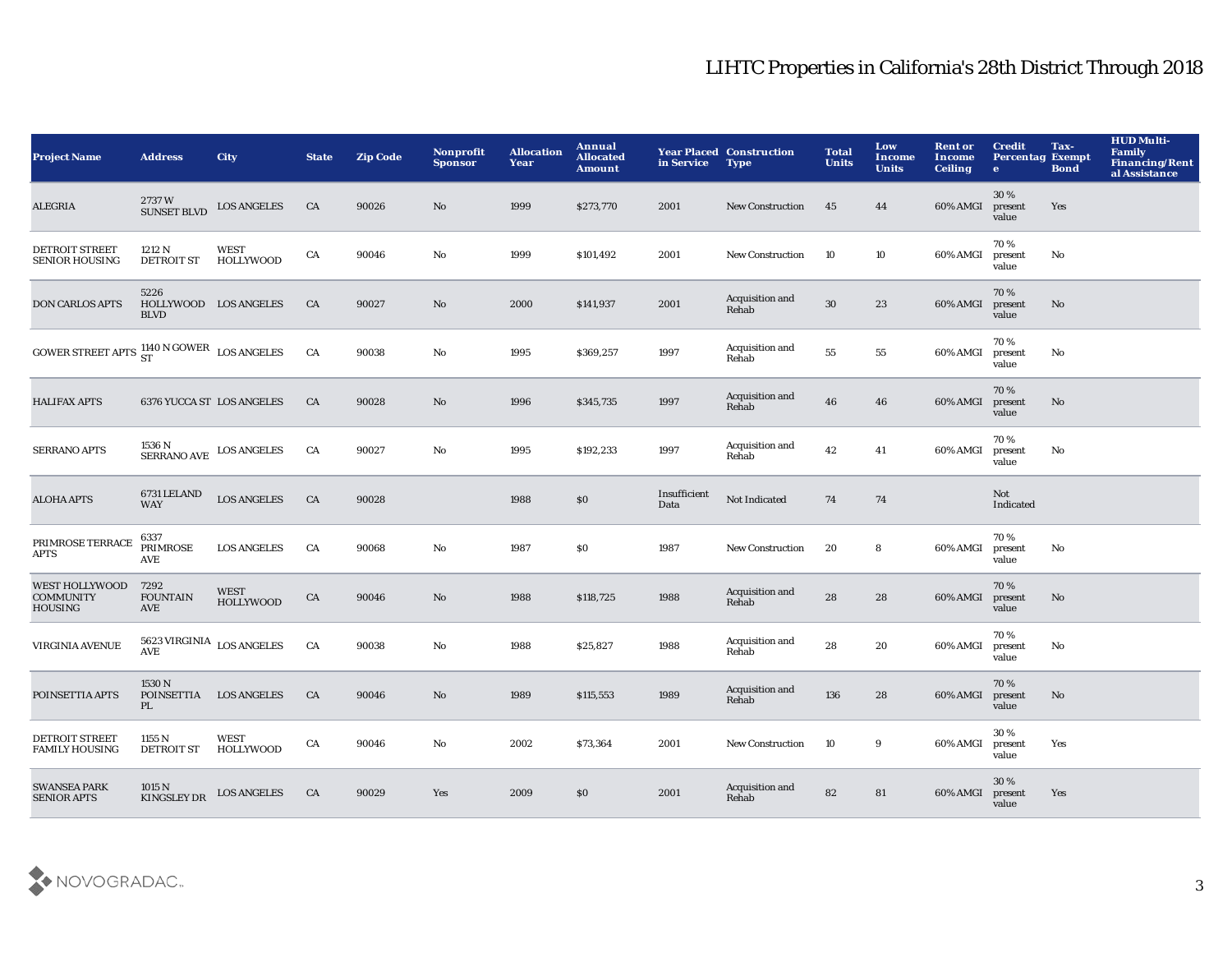| <b>Project Name</b>                                         | <b>Address</b>                                                  | City                            | <b>State</b> | <b>Zip Code</b> | Nonprofit<br><b>Sponsor</b> | <b>Allocation</b><br>Year | Annual<br><b>Allocated</b><br>Amount | in Service           | <b>Year Placed Construction</b><br><b>Type</b> | <b>Total</b><br><b>Units</b> | Low<br><b>Income</b><br><b>Units</b> | <b>Rent or</b><br><b>Income</b><br><b>Ceiling</b> | <b>Credit</b><br><b>Percentag Exempt</b><br>$\bullet$ | Tax-<br><b>Bond</b>    | <b>HUD Multi-</b><br><b>Family</b><br>Financing/Rent<br>al Assistance |
|-------------------------------------------------------------|-----------------------------------------------------------------|---------------------------------|--------------|-----------------|-----------------------------|---------------------------|--------------------------------------|----------------------|------------------------------------------------|------------------------------|--------------------------------------|---------------------------------------------------|-------------------------------------------------------|------------------------|-----------------------------------------------------------------------|
| ALEGRIA                                                     | 2737W<br><b>SUNSET BLVD</b>                                     | <b>LOS ANGELES</b>              | CA           | 90026           | No                          | 1999                      | \$273,770                            | 2001                 | <b>New Construction</b>                        | 45                           | 44                                   | 60% AMGI                                          | 30%<br>present<br>value                               | Yes                    |                                                                       |
| <b>DETROIT STREET</b><br><b>SENIOR HOUSING</b>              | 1212 N<br><b>DETROIT ST</b>                                     | <b>WEST</b><br><b>HOLLYWOOD</b> | ${\rm CA}$   | 90046           | $\rm No$                    | 1999                      | \$101,492                            | 2001                 | New Construction                               | 10                           | 10                                   | 60% AMGI                                          | 70%<br>present<br>value                               | $\mathbf{N}\mathbf{o}$ |                                                                       |
| <b>DON CARLOS APTS</b>                                      | 5226<br>HOLLYWOOD LOS ANGELES<br><b>BLVD</b>                    |                                 | CA           | 90027           | $\rm No$                    | 2000                      | \$141,937                            | 2001                 | Acquisition and<br>Rehab                       | $30\,$                       | 23                                   | 60% AMGI                                          | 70%<br>present<br>value                               | No                     |                                                                       |
| GOWER STREET APTS $^{1140}_{ST}$ N GOWER LOS ANGELES        |                                                                 |                                 | CA           | 90038           | No                          | 1995                      | \$369,257                            | 1997                 | Acquisition and<br>Rehab                       | 55                           | 55                                   | 60% AMGI                                          | 70%<br>present<br>value                               | No                     |                                                                       |
| <b>HALIFAX APTS</b>                                         |                                                                 | 6376 YUCCA ST LOS ANGELES       | CA           | 90028           | $\mathbf{N}\mathbf{o}$      | 1996                      | \$345,735                            | 1997                 | Acquisition and<br>Rehab                       | 46                           | 46                                   | 60% AMGI                                          | 70%<br>present<br>value                               | No                     |                                                                       |
| <b>SERRANO APTS</b>                                         | $1536\ \mathrm{N}$ $$\text{SERRANO AVE}$$ $$\text{LOS}$ ANGELES |                                 | CA           | 90027           | No                          | 1995                      | \$192,233                            | 1997                 | Acquisition and<br>Rehab                       | 42                           | 41                                   | 60% AMGI                                          | 70%<br>present<br>value                               | No                     |                                                                       |
| <b>ALOHA APTS</b>                                           | 6731 LELAND<br><b>WAY</b>                                       | <b>LOS ANGELES</b>              | CA           | 90028           |                             | 1988                      | \$0                                  | Insufficient<br>Data | Not Indicated                                  | 74                           | 74                                   |                                                   | Not<br>Indicated                                      |                        |                                                                       |
| PRIMROSE TERRACE<br><b>APTS</b>                             | 6337<br><b>PRIMROSE</b><br>AVE                                  | <b>LOS ANGELES</b>              | CA           | 90068           | $\rm No$                    | 1987                      | \$0                                  | 1987                 | <b>New Construction</b>                        | 20                           | 8                                    | 60% AMGI                                          | 70%<br>present<br>value                               | No                     |                                                                       |
| <b>WEST HOLLYWOOD</b><br><b>COMMUNITY</b><br><b>HOUSING</b> | 7292<br><b>FOUNTAIN</b><br><b>AVE</b>                           | WEST<br><b>HOLLYWOOD</b>        | CA           | 90046           | $\rm No$                    | 1988                      | \$118,725                            | 1988                 | Acquisition and<br>Rehab                       | 28                           | 28                                   | 60% AMGI                                          | 70%<br>present<br>value                               | No                     |                                                                       |
| <b>VIRGINIA AVENUE</b>                                      | $5623\,\mbox{VIRGINIA}$ $_{\mbox{LOS ANGELES}}$<br>AVE          |                                 | ${\rm CA}$   | 90038           | $\rm No$                    | 1988                      | \$25,827                             | 1988                 | Acquisition and<br>Rehab                       | 28                           | 20                                   | 60% AMGI                                          | 70%<br>present<br>value                               | No                     |                                                                       |
| POINSETTIA APTS                                             | 1530N<br>POINSETTIA LOS ANGELES<br>PL.                          |                                 | CA           | 90046           | No                          | 1989                      | \$115,553                            | 1989                 | Acquisition and<br>Rehab                       | 136                          | 28                                   | 60% AMGI                                          | 70%<br>present<br>value                               | No                     |                                                                       |
| DETROIT STREET<br><b>FAMILY HOUSING</b>                     | 1155 N<br><b>DETROIT ST</b>                                     | WEST<br><b>HOLLYWOOD</b>        | CA           | 90046           | No                          | 2002                      | \$73,364                             | 2001                 | New Construction                               | 10                           | 9                                    | 60% AMGI                                          | 30%<br>present<br>value                               | Yes                    |                                                                       |
| <b>SWANSEA PARK</b><br><b>SENIOR APTS</b>                   | 1015 N<br><b>KINGSLEY DR</b>                                    | <b>LOS ANGELES</b>              | CA           | 90029           | Yes                         | 2009                      | \$0                                  | 2001                 | Acquisition and<br>Rehab                       | 82                           | 81                                   | 60% AMGI                                          | 30 %<br>present<br>value                              | Yes                    |                                                                       |

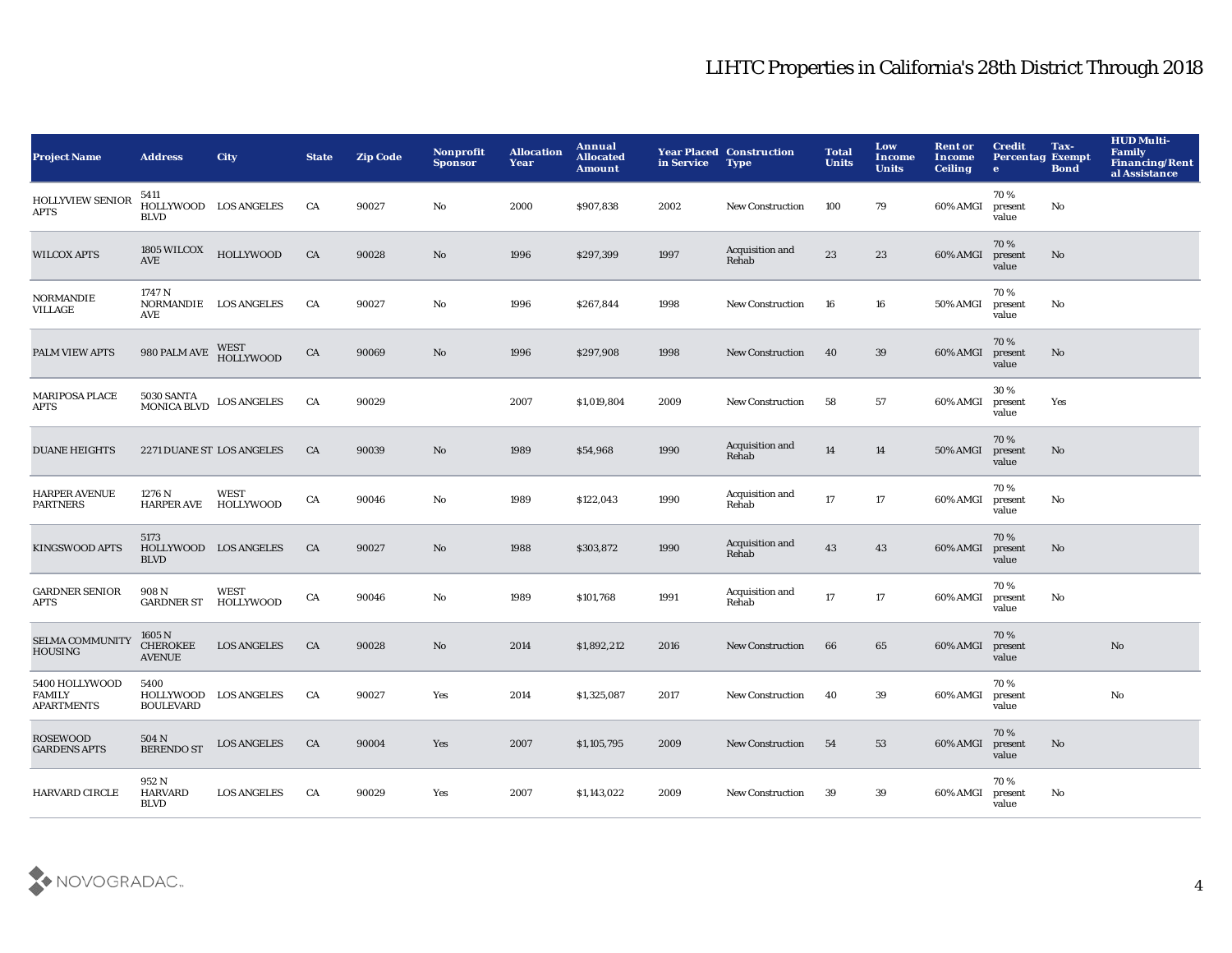| <b>Project Name</b>                                  | <b>Address</b>                                    | City                            | <b>State</b> | <b>Zip Code</b> | Nonprofit<br><b>Sponsor</b> | <b>Allocation</b><br>Year | Annual<br><b>Allocated</b><br><b>Amount</b> | in Service | <b>Year Placed Construction</b><br><b>Type</b> | <b>Total</b><br><b>Units</b> | Low<br>Income<br><b>Units</b> | <b>Rent or</b><br>Income<br><b>Ceiling</b> | <b>Credit</b><br><b>Percentag Exempt</b><br>$\bullet$ | Tax-<br><b>Bond</b> | <b>HUD Multi-</b><br><b>Family</b><br><b>Financing/Rent</b><br>al Assistance |
|------------------------------------------------------|---------------------------------------------------|---------------------------------|--------------|-----------------|-----------------------------|---------------------------|---------------------------------------------|------------|------------------------------------------------|------------------------------|-------------------------------|--------------------------------------------|-------------------------------------------------------|---------------------|------------------------------------------------------------------------------|
| <b>HOLLYVIEW SENIOR</b><br><b>APTS</b>               | 5411<br>HOLLYWOOD LOS ANGELES<br><b>BLVD</b>      |                                 | CA           | 90027           | No                          | 2000                      | \$907,838                                   | 2002       | New Construction                               | 100                          | 79                            | 60% AMGI                                   | 70%<br>present<br>value                               | No                  |                                                                              |
| <b>WILCOX APTS</b>                                   | 1805 WILCOX<br>AVE                                | <b>HOLLYWOOD</b>                | ${\rm CA}$   | 90028           | No                          | 1996                      | \$297,399                                   | 1997       | Acquisition and<br>Rehab                       | 23                           | 23                            | 60% AMGI                                   | 70%<br>present<br>value                               | No                  |                                                                              |
| <b>NORMANDIE</b><br><b>VILLAGE</b>                   | 1747 N<br>NORMANDIE LOS ANGELES<br>AVE            |                                 | CA           | 90027           | No                          | 1996                      | \$267,844                                   | 1998       | New Construction                               | 16                           | 16                            | 50% AMGI                                   | 70%<br>present<br>value                               | No                  |                                                                              |
| PALM VIEW APTS                                       | 980 PALM AVE                                      | WEST<br><b>HOLLYWOOD</b>        | ${\rm CA}$   | 90069           | No                          | 1996                      | \$297,908                                   | 1998       | <b>New Construction</b>                        | 40                           | 39                            | 60% AMGI                                   | 70%<br>present<br>value                               | No                  |                                                                              |
| <b>MARIPOSA PLACE</b><br><b>APTS</b>                 | <b>5030 SANTA</b><br><b>MONICA BLVD</b>           | <b>LOS ANGELES</b>              | CA           | 90029           |                             | 2007                      | \$1,019,804                                 | 2009       | <b>New Construction</b>                        | 58                           | 57                            | 60% AMGI                                   | 30%<br>present<br>value                               | Yes                 |                                                                              |
| <b>DUANE HEIGHTS</b>                                 | 2271 DUANE ST LOS ANGELES                         |                                 | CA           | 90039           | No                          | 1989                      | \$54,968                                    | 1990       | Acquisition and<br>Rehab                       | 14                           | 14                            | 50% AMGI                                   | 70%<br>present<br>value                               | No                  |                                                                              |
| <b>HARPER AVENUE</b><br><b>PARTNERS</b>              | 1276 N<br><b>HARPER AVE</b>                       | <b>WEST</b><br>HOLLYWOOD        | CA           | 90046           | No                          | 1989                      | \$122,043                                   | 1990       | Acquisition and<br>Rehab                       | 17                           | 17                            | 60% AMGI                                   | 70%<br>present<br>value                               | No                  |                                                                              |
| <b>KINGSWOOD APTS</b>                                | 5173<br>HOLLYWOOD LOS ANGELES<br><b>BLVD</b>      |                                 | CA           | 90027           | No                          | 1988                      | \$303,872                                   | 1990       | Acquisition and<br>Rehab                       | 43                           | 43                            | 60% AMGI                                   | 70%<br>present<br>value                               | $\mathbf{No}$       |                                                                              |
| <b>GARDNER SENIOR</b><br><b>APTS</b>                 | 908 N<br><b>GARDNER ST</b>                        | <b>WEST</b><br><b>HOLLYWOOD</b> | ${\rm CA}$   | 90046           | No                          | 1989                      | \$101,768                                   | 1991       | Acquisition and<br>Rehab                       | 17                           | 17                            | 60% AMGI                                   | 70%<br>present<br>value                               | No                  |                                                                              |
| <b>SELMA COMMUNITY</b><br><b>HOUSING</b>             | 1605 N<br><b>CHEROKEE</b><br><b>AVENUE</b>        | <b>LOS ANGELES</b>              | CA           | 90028           | $\mathbf{No}$               | 2014                      | \$1,892,212                                 | 2016       | <b>New Construction</b>                        | 66                           | 65                            | 60% AMGI                                   | 70%<br>present<br>value                               |                     | No                                                                           |
| 5400 HOLLYWOOD<br><b>FAMILY</b><br><b>APARTMENTS</b> | 5400<br>HOLLYWOOD LOS ANGELES<br><b>BOULEVARD</b> |                                 | CA           | 90027           | Yes                         | 2014                      | \$1,325,087                                 | 2017       | <b>New Construction</b>                        | 40                           | 39                            | 60% AMGI                                   | 70%<br>present<br>value                               |                     | $\mathbf{N}\mathbf{o}$                                                       |
| <b>ROSEWOOD</b><br><b>GARDENS APTS</b>               | 504 N<br><b>BERENDO ST</b>                        | <b>LOS ANGELES</b>              | CA           | 90004           | Yes                         | 2007                      | \$1,105,795                                 | 2009       | <b>New Construction</b>                        | 54                           | 53                            | 60% AMGI                                   | 70%<br>present<br>value                               | $\mathbf{No}$       |                                                                              |
| <b>HARVARD CIRCLE</b>                                | 952 N<br><b>HARVARD</b><br><b>BLVD</b>            | <b>LOS ANGELES</b>              | CA           | 90029           | Yes                         | 2007                      | \$1,143,022                                 | 2009       | <b>New Construction</b>                        | -39                          | 39                            | 60% AMGI                                   | 70%<br>present<br>value                               | No                  |                                                                              |

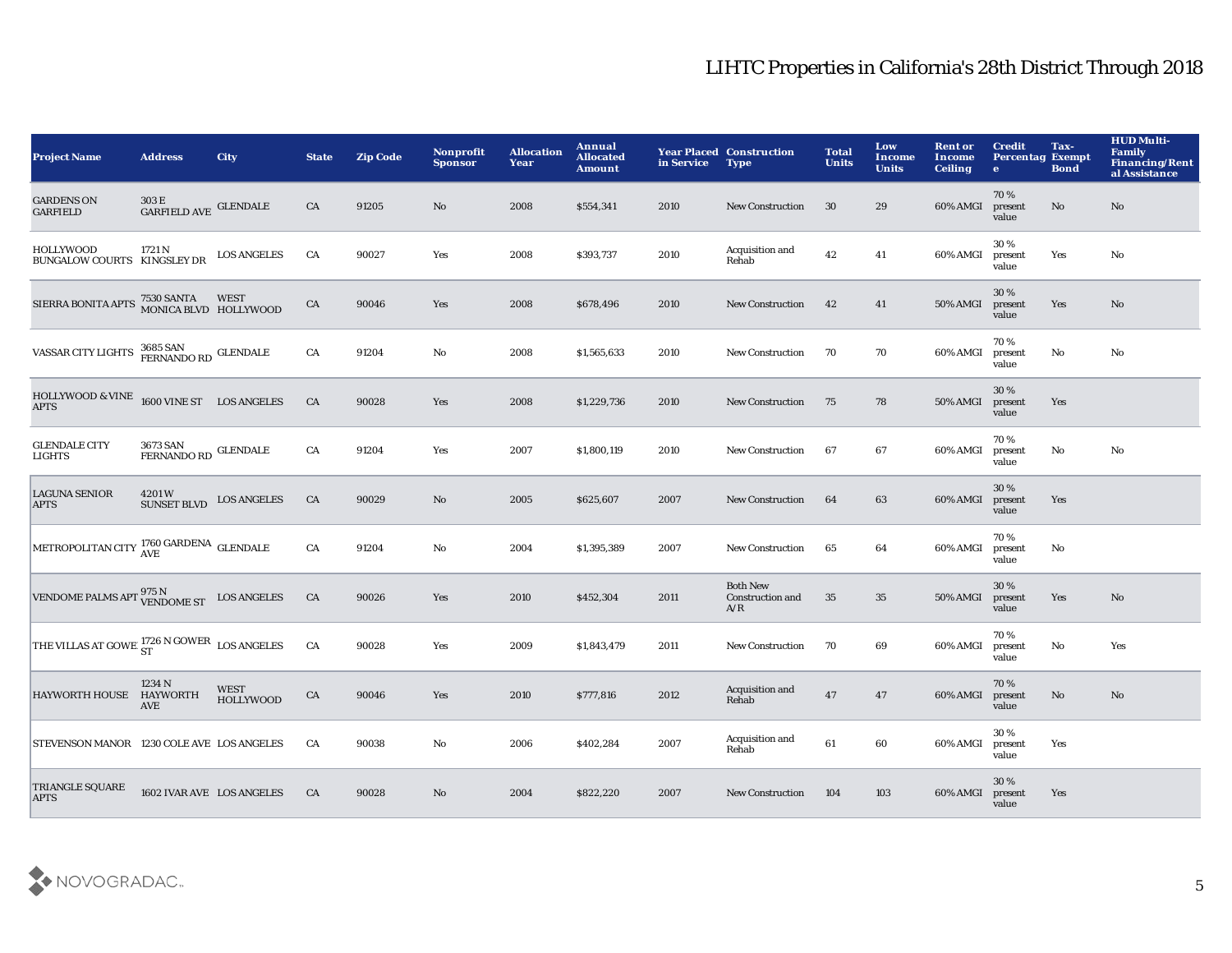| <b>Project Name</b>                                                     | <b>Address</b>                                     | <b>City</b>                     | <b>State</b> | <b>Zip Code</b> | Nonprofit<br><b>Sponsor</b> | <b>Allocation</b><br>Year | Annual<br><b>Allocated</b><br><b>Amount</b> | in Service | <b>Year Placed Construction</b><br><b>Type</b> | <b>Total</b><br><b>Units</b> | Low<br><b>Income</b><br><b>Units</b> | <b>Rent or</b><br>Income<br><b>Ceiling</b> | <b>Credit</b><br><b>Percentag Exempt</b><br>$\mathbf{e}$ | Tax-<br><b>Bond</b>    | <b>HUD Multi-</b><br><b>Family</b><br><b>Financing/Rent</b><br>al Assistance |
|-------------------------------------------------------------------------|----------------------------------------------------|---------------------------------|--------------|-----------------|-----------------------------|---------------------------|---------------------------------------------|------------|------------------------------------------------|------------------------------|--------------------------------------|--------------------------------------------|----------------------------------------------------------|------------------------|------------------------------------------------------------------------------|
| <b>GARDENS ON</b><br><b>GARFIELD</b>                                    | 303 E<br>GARFIELD AVE GLENDALE                     |                                 | CA           | 91205           | No.                         | 2008                      | \$554,341                                   | 2010       | <b>New Construction</b>                        | 30                           | 29                                   | 60% AMGI                                   | 70%<br>present<br>value                                  | No                     | $\mathbf{N}\mathbf{o}$                                                       |
| <b>HOLLYWOOD</b><br>BUNGALOW COURTS KINGSLEY DR                         | 1721 N                                             | <b>LOS ANGELES</b>              | CA           | 90027           | Yes                         | 2008                      | \$393,737                                   | 2010       | Acquisition and<br>Rehab                       | 42                           | 41                                   | 60% AMGI                                   | 30%<br>present<br>value                                  | Yes                    | No                                                                           |
| SIERRA BONITA APTS 7530 SANTA WEST<br>MONICA BLVD HOLLYWOOD             |                                                    |                                 | CA           | 90046           | Yes                         | 2008                      | \$678,496                                   | 2010       | <b>New Construction</b>                        | 42                           | 41                                   | <b>50% AMGI</b>                            | 30 %<br>present<br>value                                 | Yes                    | No                                                                           |
| VASSAR CITY LIGHTS 3685 SAN<br>FERNANDO RD GLENDALE                     |                                                    |                                 | CA           | 91204           | No                          | 2008                      | \$1,565,633                                 | 2010       | <b>New Construction</b>                        | 70                           | 70                                   | 60% AMGI                                   | 70%<br>present<br>value                                  | $\mathbf{N}\mathbf{o}$ | No                                                                           |
| HOLLYWOOD & VINE 1600 VINE ST LOS ANGELES<br><b>APTS</b>                |                                                    |                                 | CA           | 90028           | Yes                         | 2008                      | \$1,229,736                                 | 2010       | <b>New Construction</b>                        | 75                           | 78                                   | 50% AMGI                                   | 30%<br>present<br>value                                  | Yes                    |                                                                              |
| <b>GLENDALE CITY</b><br><b>LIGHTS</b>                                   | $\overbrace{\text{FERNANDO RD}}^{\text{GLENDALE}}$ |                                 | CA           | 91204           | Yes                         | 2007                      | \$1,800,119                                 | 2010       | <b>New Construction</b>                        | 67                           | 67                                   | 60% AMGI                                   | 70%<br>present<br>value                                  | No                     | No                                                                           |
| <b>LAGUNA SENIOR</b><br><b>APTS</b>                                     | 4201W<br><b>SUNSET BLVD</b>                        | <b>LOS ANGELES</b>              | CA           | 90029           | No                          | 2005                      | \$625,607                                   | 2007       | <b>New Construction</b>                        | 64                           | 63                                   | 60% AMGI                                   | 30%<br>present<br>value                                  | Yes                    |                                                                              |
| METROPOLITAN CITY AVE<br>AVE                                            |                                                    |                                 | CA           | 91204           | No                          | 2004                      | \$1,395,389                                 | 2007       | <b>New Construction</b>                        | 65                           | 64                                   | 60% AMGI                                   | 70%<br>present<br>value                                  | No                     |                                                                              |
| VENDOME PALMS APT $\frac{975 \text{ N}}{\text{VENDOME ST}}$ LOS ANGELES |                                                    |                                 | CA           | 90026           | Yes                         | 2010                      | \$452,304                                   | 2011       | <b>Both New</b><br>Construction and<br>A/R     | 35                           | 35                                   | <b>50% AMGI</b>                            | 30%<br>present<br>value                                  | Yes                    | No                                                                           |
| THE VILLAS AT GOWEI $_{ST}^{1726}$ N GOWER LOS ANGELES                  |                                                    |                                 | CA           | 90028           | Yes                         | 2009                      | \$1,843,479                                 | 2011       | <b>New Construction</b>                        | 70                           | 69                                   | 60% AMGI                                   | 70%<br>present<br>value                                  | No                     | Yes                                                                          |
| HAYWORTH HOUSE HAYWORTH                                                 | 1234 N<br>AVE                                      | <b>WEST</b><br><b>HOLLYWOOD</b> | ${\rm CA}$   | 90046           | Yes                         | 2010                      | \$777,816                                   | 2012       | Acquisition and<br>Rehab                       | 47                           | 47                                   | 60% AMGI                                   | 70%<br>present<br>value                                  | $\mathbf{N}\mathbf{o}$ | No                                                                           |
| STEVENSON MANOR 1230 COLE AVE LOS ANGELES                               |                                                    |                                 | CA           | 90038           | No                          | 2006                      | \$402,284                                   | 2007       | Acquisition and<br>Rehab                       | 61                           | 60                                   | 60% AMGI                                   | 30%<br>present<br>value                                  | Yes                    |                                                                              |
| TRIANGLE SQUARE<br><b>APTS</b>                                          | 1602 IVAR AVE LOS ANGELES                          |                                 | CA           | 90028           | No                          | 2004                      | \$822,220                                   | 2007       | <b>New Construction</b>                        | 104                          | 103                                  | 60% AMGI                                   | 30 %<br>present<br>value                                 | Yes                    |                                                                              |

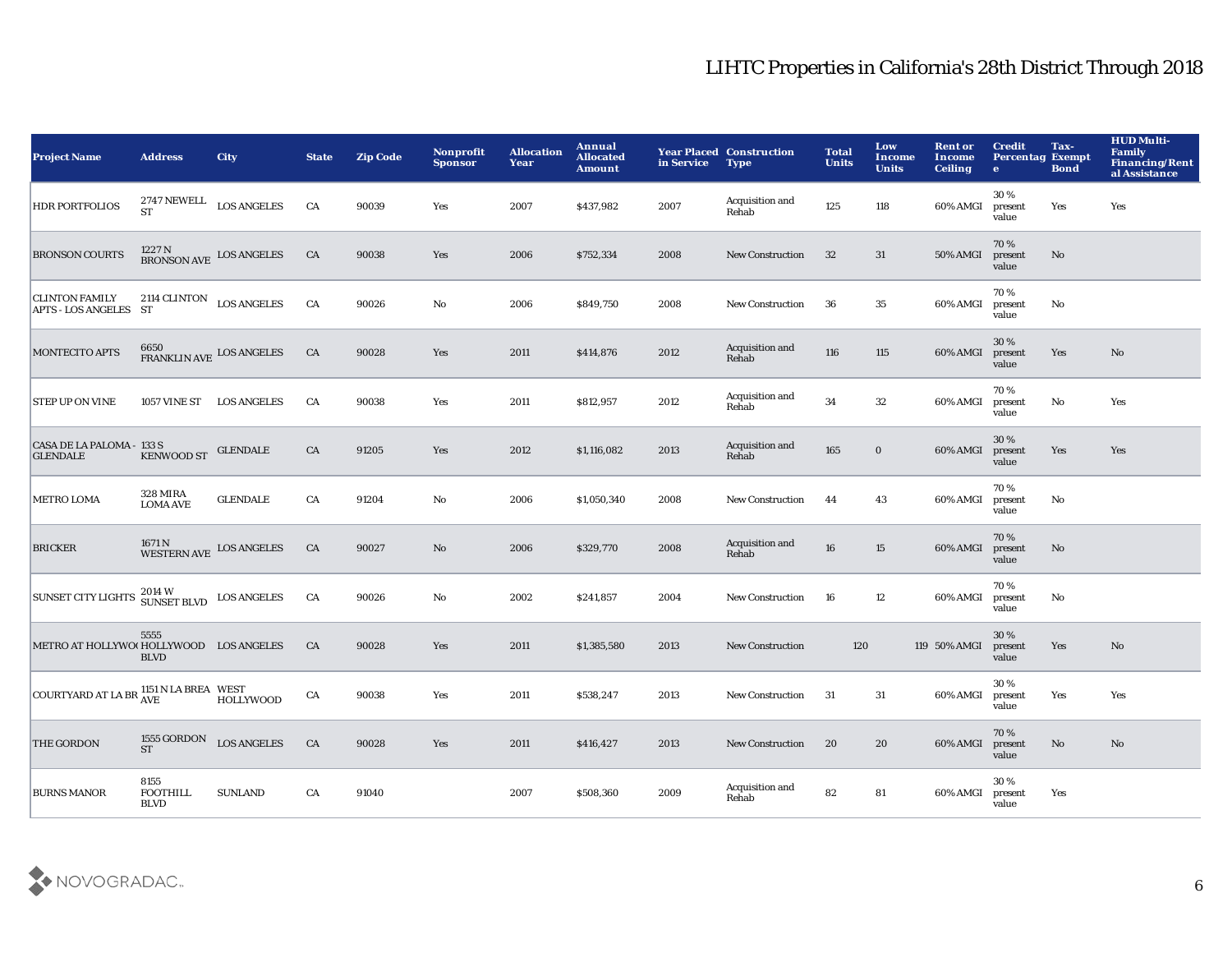| <b>Project Name</b>                                                                                                                                                                                                                                                                                                                                                                                                                                                                                | <b>Address</b>                         | <b>City</b>                                     | <b>State</b> | <b>Zip Code</b> | Nonprofit<br><b>Sponsor</b> | <b>Allocation</b><br>Year | Annual<br><b>Allocated</b><br><b>Amount</b> | in Service | <b>Year Placed Construction</b><br><b>Type</b> | <b>Total</b><br><b>Units</b> | Low<br>Income<br><b>Units</b> | <b>Rent or</b><br><b>Income</b><br><b>Ceiling</b> | <b>Credit</b><br><b>Percentag Exempt</b><br>$\bullet$ | Tax-<br><b>Bond</b>    | <b>HUD Multi-</b><br><b>Family</b><br><b>Financing/Rent</b><br>al Assistance |
|----------------------------------------------------------------------------------------------------------------------------------------------------------------------------------------------------------------------------------------------------------------------------------------------------------------------------------------------------------------------------------------------------------------------------------------------------------------------------------------------------|----------------------------------------|-------------------------------------------------|--------------|-----------------|-----------------------------|---------------------------|---------------------------------------------|------------|------------------------------------------------|------------------------------|-------------------------------|---------------------------------------------------|-------------------------------------------------------|------------------------|------------------------------------------------------------------------------|
| <b>HDR PORTFOLIOS</b>                                                                                                                                                                                                                                                                                                                                                                                                                                                                              | <b>ST</b>                              | $2747$ NEWELL $\rm{LOS\; ANGELES}$              | CA           | 90039           | Yes                         | 2007                      | \$437,982                                   | 2007       | Acquisition and<br>Rehab                       | 125                          | 118                           | 60% AMGI                                          | 30%<br>present<br>value                               | Yes                    | Yes                                                                          |
| <b>BRONSON COURTS</b>                                                                                                                                                                                                                                                                                                                                                                                                                                                                              |                                        | $1227\,\mathrm{N}$ BRONSON AVE LOS ANGELES      | CA           | 90038           | Yes                         | 2006                      | \$752,334                                   | 2008       | <b>New Construction</b>                        | 32                           | 31                            | <b>50% AMGI</b>                                   | 70%<br>present<br>value                               | $\mathbf{N}\mathbf{o}$ |                                                                              |
| <b>CLINTON FAMILY</b><br>APTS - LOS ANGELES ST                                                                                                                                                                                                                                                                                                                                                                                                                                                     | 2114 CLINTON LOS ANGELES               |                                                 | CA           | 90026           | No                          | 2006                      | \$849,750                                   | 2008       | <b>New Construction</b>                        | 36                           | 35                            | 60% AMGI                                          | 70%<br>present<br>value                               | No                     |                                                                              |
| <b>MONTECITO APTS</b>                                                                                                                                                                                                                                                                                                                                                                                                                                                                              |                                        | $6650$ $$\tt FRANKLIN\ AVE$$ $^{LOS\ ANGELES}$  | CA           | 90028           | Yes                         | 2011                      | \$414,876                                   | 2012       | Acquisition and<br>Rehab                       | 116                          | 115                           | 60% AMGI                                          | 30%<br>present<br>value                               | Yes                    | $\mathbf{N}\mathbf{o}$                                                       |
| <b>STEP UP ON VINE</b>                                                                                                                                                                                                                                                                                                                                                                                                                                                                             |                                        | 1057 VINE ST LOS ANGELES                        | CA           | 90038           | Yes                         | 2011                      | \$812,957                                   | 2012       | Acquisition and<br>Rehab                       | 34                           | 32                            | 60% AMGI                                          | 70%<br>present<br>value                               | $\mathbf{No}$          | Yes                                                                          |
| CASA DE LA PALOMA - 133 S<br><b>GLENDALE</b>                                                                                                                                                                                                                                                                                                                                                                                                                                                       | <b>KENWOOD ST</b>                      | <b>GLENDALE</b>                                 | CA           | 91205           | Yes                         | 2012                      | \$1,116,082                                 | 2013       | Acquisition and<br>Rehab                       | 165                          | $\bf{0}$                      | 60% AMGI                                          | 30%<br>present<br>value                               | Yes                    | Yes                                                                          |
| <b>METRO LOMA</b>                                                                                                                                                                                                                                                                                                                                                                                                                                                                                  | <b>328 MIRA</b><br><b>LOMA AVE</b>     | <b>GLENDALE</b>                                 | CA           | 91204           | No                          | 2006                      | \$1,050,340                                 | 2008       | <b>New Construction</b>                        | 44                           | 43                            | 60% AMGI                                          | 70%<br>present<br>value                               | No                     |                                                                              |
| <b>BRICKER</b>                                                                                                                                                                                                                                                                                                                                                                                                                                                                                     |                                        | $1671\,\mathrm{N}$ WESTERN AVE $\,$ LOS ANGELES | CA           | 90027           | $\mathbf{N}\mathbf{o}$      | 2006                      | \$329,770                                   | 2008       | Acquisition and<br>Rehab                       | 16                           | 15                            | 60% AMGI                                          | 70%<br>present<br>value                               | No                     |                                                                              |
| SUNSET CITY LIGHTS 2014 W<br>SUNSET BLVD LOS ANGELES                                                                                                                                                                                                                                                                                                                                                                                                                                               |                                        |                                                 | CA           | 90026           | $\mathbf{No}$               | 2002                      | \$241,857                                   | 2004       | <b>New Construction</b>                        | 16                           | 12                            | 60% AMGI                                          | 70%<br>present<br>value                               | No                     |                                                                              |
| METRO AT HOLLYWO(HOLLYWOOD LOS ANGELES                                                                                                                                                                                                                                                                                                                                                                                                                                                             | 5555<br><b>BLVD</b>                    |                                                 | CA           | 90028           | Yes                         | 2011                      | \$1,385,580                                 | 2013       | <b>New Construction</b>                        | 120                          |                               | 119 50% AMGI                                      | 30%<br>present<br>value                               | Yes                    | No                                                                           |
| $\begin{minipage}{.4\linewidth} \textbf{COURTYARD AT LA BR} \begin{tabular}{l} \bf{ABE} \end{tabular} \begin{tabular}{l} \bf{ABE} \end{tabular} \begin{tabular}{l} \bf{ABE} \end{tabular} \begin{tabular}{l} \bf{ABE} \end{tabular} \end{minipage} \begin{tabular}{l} \bf{ABE} \end{tabular} \end{minipage} \begin{minipage}{0.5\linewidth} \textbf{AUE} \end{minipage} \begin{minipage}{0.5\linewidth} \textbf{AUE} \end{minipage} \begin{minipage}{0.5\linewidth} \textbf{AUE} \end{minipage} \$ |                                        | HOLLYWOOD                                       | CA           | 90038           | Yes                         | 2011                      | \$538,247                                   | 2013       | <b>New Construction</b>                        | 31                           | 31                            | 60% AMGI                                          | 30%<br>present<br>value                               | Yes                    | Yes                                                                          |
| THE GORDON                                                                                                                                                                                                                                                                                                                                                                                                                                                                                         | 1555 GORDON<br><b>ST</b>               | <b>LOS ANGELES</b>                              | CA           | 90028           | Yes                         | 2011                      | \$416,427                                   | 2013       | <b>New Construction</b>                        | 20                           | 20                            | 60% AMGI                                          | 70%<br>present<br>value                               | $\mathbf{N}\mathbf{o}$ | $\mathbf {No}$                                                               |
| <b>BURNS MANOR</b>                                                                                                                                                                                                                                                                                                                                                                                                                                                                                 | 8155<br><b>FOOTHILL</b><br><b>BLVD</b> | <b>SUNLAND</b>                                  | CA           | 91040           |                             | 2007                      | \$508,360                                   | 2009       | Acquisition and<br>Rehab                       | 82                           | 81                            | 60% AMGI                                          | 30%<br>present<br>value                               | Yes                    |                                                                              |

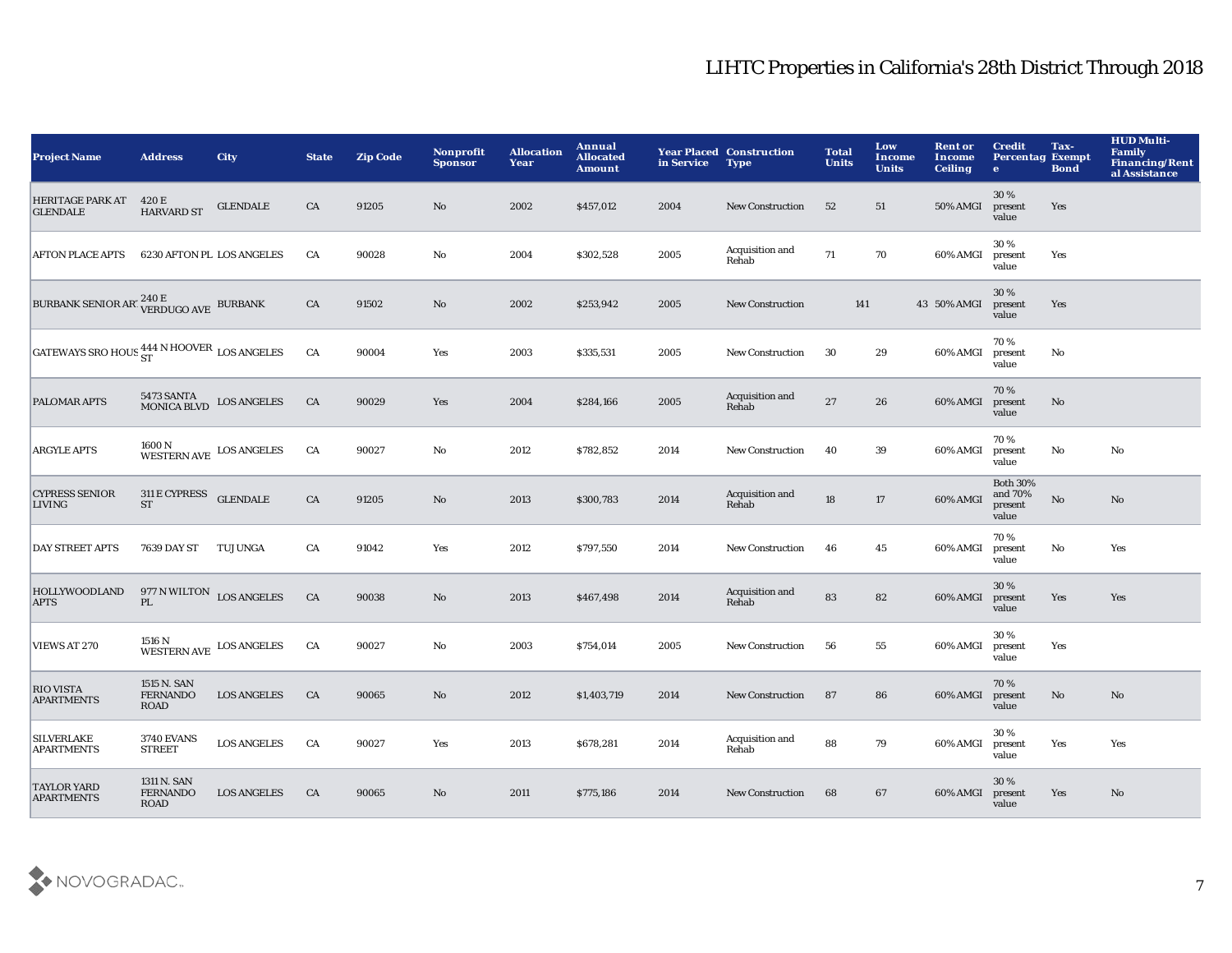| <b>Project Name</b>                                  | <b>Address</b>                                | <b>City</b>                                                             | <b>State</b> | <b>Zip Code</b> | Nonprofit<br><b>Sponsor</b> | <b>Allocation</b><br>Year | Annual<br><b>Allocated</b><br><b>Amount</b> | in Service | <b>Year Placed Construction</b><br><b>Type</b> | <b>Total</b><br><b>Units</b> | Low<br><b>Income</b><br><b>Units</b> | <b>Rent or</b><br>Income<br><b>Ceiling</b> | <b>Credit</b><br><b>Percentag Exempt</b><br>$\bullet$ | Tax-<br><b>Bond</b>    | <b>HUD Multi-</b><br><b>Family</b><br><b>Financing/Rent</b><br>al Assistance |
|------------------------------------------------------|-----------------------------------------------|-------------------------------------------------------------------------|--------------|-----------------|-----------------------------|---------------------------|---------------------------------------------|------------|------------------------------------------------|------------------------------|--------------------------------------|--------------------------------------------|-------------------------------------------------------|------------------------|------------------------------------------------------------------------------|
| HERITAGE PARK AT<br><b>GLENDALE</b>                  | 420 E<br><b>HARVARD ST</b>                    | <b>GLENDALE</b>                                                         | CA           | 91205           | No.                         | 2002                      | \$457,012                                   | 2004       | <b>New Construction</b>                        | 52                           | 51                                   | <b>50% AMGI</b>                            | 30%<br>present<br>value                               | Yes                    |                                                                              |
| <b>AFTON PLACE APTS</b>                              |                                               | 6230 AFTON PL LOS ANGELES                                               | CA           | 90028           | No                          | 2004                      | \$302,528                                   | 2005       | Acquisition and<br>Rehab                       | 71                           | 70                                   | 60% AMGI                                   | 30%<br>present<br>value                               | Yes                    |                                                                              |
| BURBANK SENIOR ART VERDUGO AVE BURBANK               |                                               |                                                                         | CA           | 91502           | $\rm\thinspace No$          | 2002                      | \$253,942                                   | 2005       | <b>New Construction</b>                        | 141                          |                                      | 43 50% AMGI                                | 30 %<br>present<br>value                              | Yes                    |                                                                              |
| GATEWAYS SRO HOUS $_{ST}^{444}$ N HOOVER LOS ANGELES |                                               |                                                                         | CA           | 90004           | Yes                         | 2003                      | \$335,531                                   | 2005       | <b>New Construction</b>                        | 30                           | 29                                   | 60% AMGI                                   | 70%<br>present<br>value                               | No                     |                                                                              |
| PALOMAR APTS                                         | 5473 SANTA<br>MONICA BLVD                     | <b>LOS ANGELES</b>                                                      | ${\rm CA}$   | 90029           | Yes                         | 2004                      | \$284,166                                   | 2005       | Acquisition and<br>Rehab                       | 27                           | 26                                   | 60% AMGI                                   | 70%<br>present<br>value                               | No                     |                                                                              |
| <b>ARGYLE APTS</b>                                   |                                               | $1600\,\mathrm{N}$ $$\,{\rm WESTERN\,\,AVE}\,{\rm\,\,LOS\,\,ANGELES}\,$ | ${\rm CA}$   | 90027           | $\mathbf {No}$              | 2012                      | \$782,852                                   | 2014       | <b>New Construction</b>                        | 40                           | 39                                   | 60% AMGI                                   | 70%<br>present<br>value                               | $\mathbf{N}\mathbf{o}$ | $_{\rm No}$                                                                  |
| <b>CYPRESS SENIOR</b><br><b>LIVING</b>               | 311 E CYPRESS GLENDALE<br><b>ST</b>           |                                                                         | ${\rm CA}$   | 91205           | $\mathbf{No}$               | 2013                      | \$300,783                                   | 2014       | Acquisition and<br>Rehab                       | 18                           | 17                                   | 60% AMGI                                   | <b>Both 30%</b><br>and 70%<br>present<br>value        | $\mathbf{N}\mathbf{o}$ | No                                                                           |
| DAY STREET APTS                                      | 7639 DAY ST                                   | TUJUNGA                                                                 | CA           | 91042           | Yes                         | 2012                      | \$797,550                                   | 2014       | New Construction                               | 46                           | 45                                   | 60% AMGI                                   | 70%<br>present<br>value                               | No                     | Yes                                                                          |
| <b>HOLLYWOODLAND</b><br><b>APTS</b>                  | 977 N WILTON $_{\rm LOS\ ANGELES}$<br>PL      |                                                                         | ${\rm CA}$   | 90038           | No                          | 2013                      | \$467,498                                   | 2014       | Acquisition and<br>Rehab                       | 83                           | 82                                   | 60% AMGI                                   | 30 %<br>present<br>value                              | Yes                    | Yes                                                                          |
| <b>VIEWS AT 270</b>                                  |                                               | WESTERN AVE LOS ANGELES                                                 | CA           | 90027           | No                          | 2003                      | \$754,014                                   | 2005       | <b>New Construction</b>                        | 56                           | 55                                   | 60% AMGI                                   | 30%<br>present<br>value                               | Yes                    |                                                                              |
| <b>RIO VISTA</b><br><b>APARTMENTS</b>                | 1515 N. SAN<br><b>FERNANDO</b><br><b>ROAD</b> | <b>LOS ANGELES</b>                                                      | CA           | 90065           | No                          | 2012                      | \$1,403,719                                 | 2014       | <b>New Construction</b>                        | 87                           | 86                                   | 60% AMGI                                   | 70%<br>present<br>value                               | No                     | No                                                                           |
| <b>SILVERLAKE</b><br><b>APARTMENTS</b>               | <b>3740 EVANS</b><br><b>STREET</b>            | <b>LOS ANGELES</b>                                                      | CA           | 90027           | Yes                         | 2013                      | \$678,281                                   | 2014       | Acquisition and<br>Rehab                       | 88                           | 79                                   | 60% AMGI                                   | 30%<br>present<br>value                               | Yes                    | Yes                                                                          |
| <b>TAYLOR YARD</b><br><b>APARTMENTS</b>              | 1311 N. SAN<br><b>FERNANDO</b><br><b>ROAD</b> | <b>LOS ANGELES</b>                                                      | CA           | 90065           | No                          | 2011                      | \$775,186                                   | 2014       | <b>New Construction</b>                        | 68                           | 67                                   | 60% AMGI                                   | 30 %<br>present<br>value                              | Yes                    | No                                                                           |